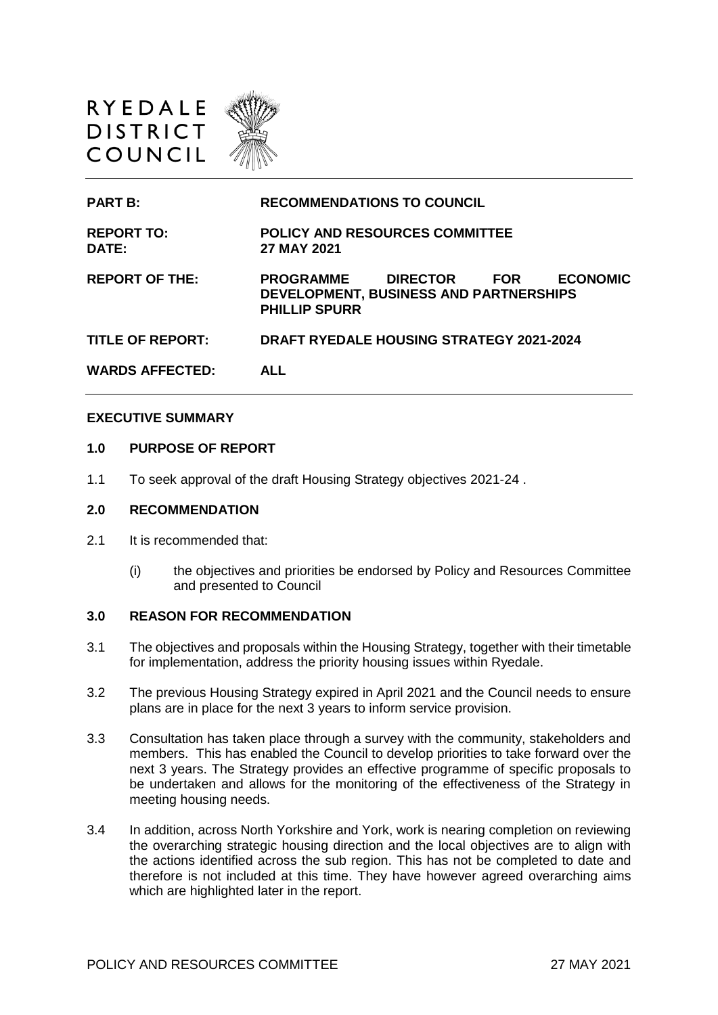



**PART B: RECOMMENDATIONS TO COUNCIL REPORT TO: POLICY AND RESOURCES COMMITTEE DATE: 27 MAY 2021 REPORT OF THE: PROGRAMME DIRECTOR FOR ECONOMIC DEVELOPMENT, BUSINESS AND PARTNERSHIPS PHILLIP SPURR TITLE OF REPORT: DRAFT RYEDALE HOUSING STRATEGY 2021-2024 WARDS AFFECTED: ALL**

#### **EXECUTIVE SUMMARY**

#### **1.0 PURPOSE OF REPORT**

1.1 To seek approval of the draft Housing Strategy objectives 2021-24 .

#### **2.0 RECOMMENDATION**

- 2.1 It is recommended that:
	- (i) the objectives and priorities be endorsed by Policy and Resources Committee and presented to Council

#### **3.0 REASON FOR RECOMMENDATION**

- 3.1 The objectives and proposals within the Housing Strategy, together with their timetable for implementation, address the priority housing issues within Ryedale.
- 3.2 The previous Housing Strategy expired in April 2021 and the Council needs to ensure plans are in place for the next 3 years to inform service provision.
- 3.3 Consultation has taken place through a survey with the community, stakeholders and members. This has enabled the Council to develop priorities to take forward over the next 3 years. The Strategy provides an effective programme of specific proposals to be undertaken and allows for the monitoring of the effectiveness of the Strategy in meeting housing needs.
- 3.4 In addition, across North Yorkshire and York, work is nearing completion on reviewing the overarching strategic housing direction and the local objectives are to align with the actions identified across the sub region. This has not be completed to date and therefore is not included at this time. They have however agreed overarching aims which are highlighted later in the report.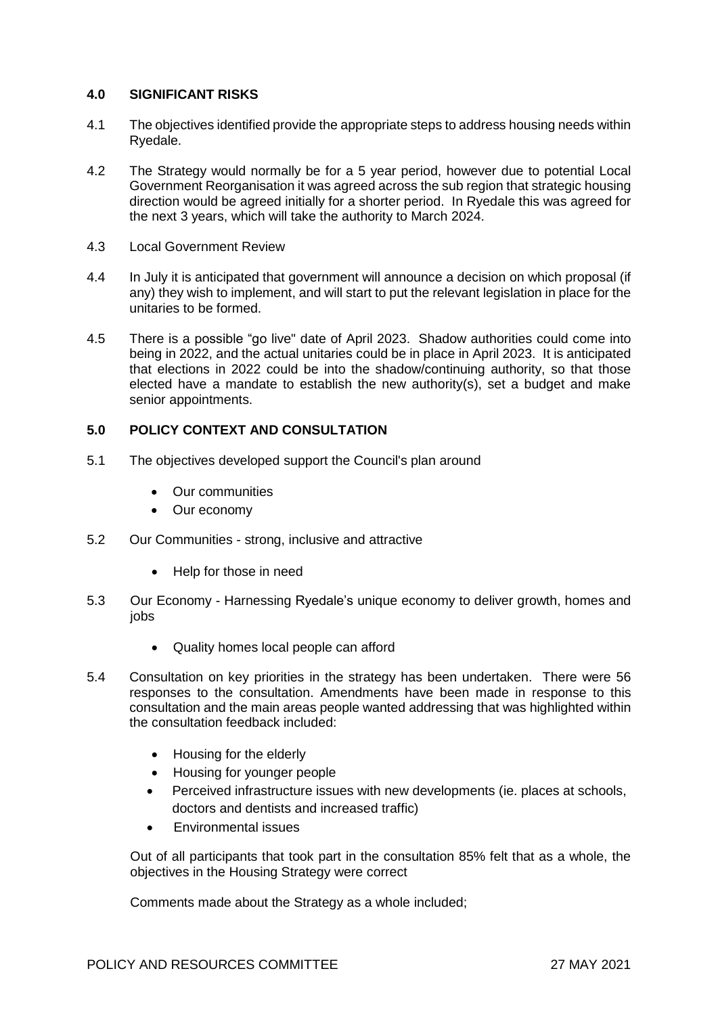# **4.0 SIGNIFICANT RISKS**

- 4.1 The objectives identified provide the appropriate steps to address housing needs within Ryedale.
- 4.2 The Strategy would normally be for a 5 year period, however due to potential Local Government Reorganisation it was agreed across the sub region that strategic housing direction would be agreed initially for a shorter period. In Ryedale this was agreed for the next 3 years, which will take the authority to March 2024.
- 4.3 Local Government Review
- 4.4 In July it is anticipated that government will announce a decision on which proposal (if any) they wish to implement, and will start to put the relevant legislation in place for the unitaries to be formed.
- 4.5 There is a possible "go live" date of April 2023. Shadow authorities could come into being in 2022, and the actual unitaries could be in place in April 2023. It is anticipated that elections in 2022 could be into the shadow/continuing authority, so that those elected have a mandate to establish the new authority(s), set a budget and make senior appointments.

#### **5.0 POLICY CONTEXT AND CONSULTATION**

- 5.1 The objectives developed support the Council's plan around
	- Our communities
	- Our economy
- 5.2 Our Communities strong, inclusive and attractive
	- Help for those in need
- 5.3 Our Economy Harnessing Ryedale's unique economy to deliver growth, homes and jobs
	- Quality homes local people can afford
- 5.4 Consultation on key priorities in the strategy has been undertaken. There were 56 responses to the consultation. Amendments have been made in response to this consultation and the main areas people wanted addressing that was highlighted within the consultation feedback included:
	- Housing for the elderly
	- Housing for younger people
	- Perceived infrastructure issues with new developments (ie. places at schools, doctors and dentists and increased traffic)
	- Fnvironmental issues

Out of all participants that took part in the consultation 85% felt that as a whole, the objectives in the Housing Strategy were correct

Comments made about the Strategy as a whole included;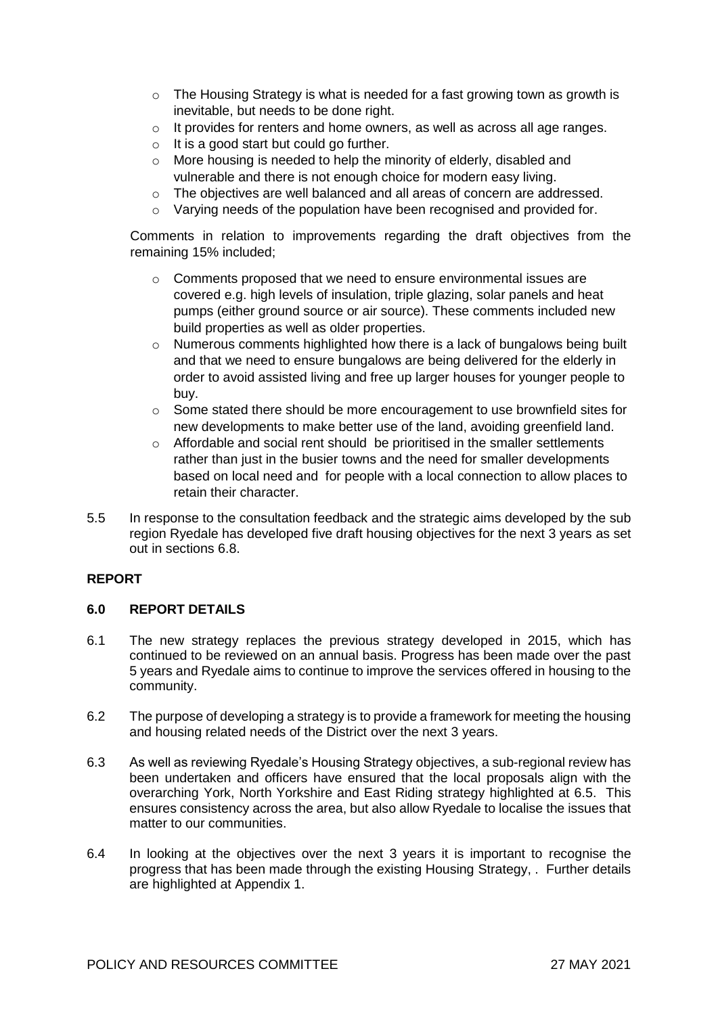- o The Housing Strategy is what is needed for a fast growing town as growth is inevitable, but needs to be done right.
- o It provides for renters and home owners, as well as across all age ranges.
- $\circ$  It is a good start but could go further.
- o More housing is needed to help the minority of elderly, disabled and vulnerable and there is not enough choice for modern easy living.
- $\circ$  The objectives are well balanced and all areas of concern are addressed.
- o Varying needs of the population have been recognised and provided for.

Comments in relation to improvements regarding the draft objectives from the remaining 15% included;

- o Comments proposed that we need to ensure environmental issues are covered e.g. high levels of insulation, triple glazing, solar panels and heat pumps (either ground source or air source). These comments included new build properties as well as older properties.
- $\circ$  Numerous comments highlighted how there is a lack of bungalows being built and that we need to ensure bungalows are being delivered for the elderly in order to avoid assisted living and free up larger houses for younger people to buy.
- o Some stated there should be more encouragement to use brownfield sites for new developments to make better use of the land, avoiding greenfield land.
- $\circ$  Affordable and social rent should be prioritised in the smaller settlements rather than just in the busier towns and the need for smaller developments based on local need and for people with a local connection to allow places to retain their character.
- 5.5 In response to the consultation feedback and the strategic aims developed by the sub region Ryedale has developed five draft housing objectives for the next 3 years as set out in sections 6.8.

# **REPORT**

# **6.0 REPORT DETAILS**

- 6.1 The new strategy replaces the previous strategy developed in 2015, which has continued to be reviewed on an annual basis. Progress has been made over the past 5 years and Ryedale aims to continue to improve the services offered in housing to the community.
- 6.2 The purpose of developing a strategy is to provide a framework for meeting the housing and housing related needs of the District over the next 3 years.
- 6.3 As well as reviewing Ryedale's Housing Strategy objectives, a sub-regional review has been undertaken and officers have ensured that the local proposals align with the overarching York, North Yorkshire and East Riding strategy highlighted at 6.5. This ensures consistency across the area, but also allow Ryedale to localise the issues that matter to our communities.
- 6.4 In looking at the objectives over the next 3 years it is important to recognise the progress that has been made through the existing Housing Strategy, . Further details are highlighted at Appendix 1.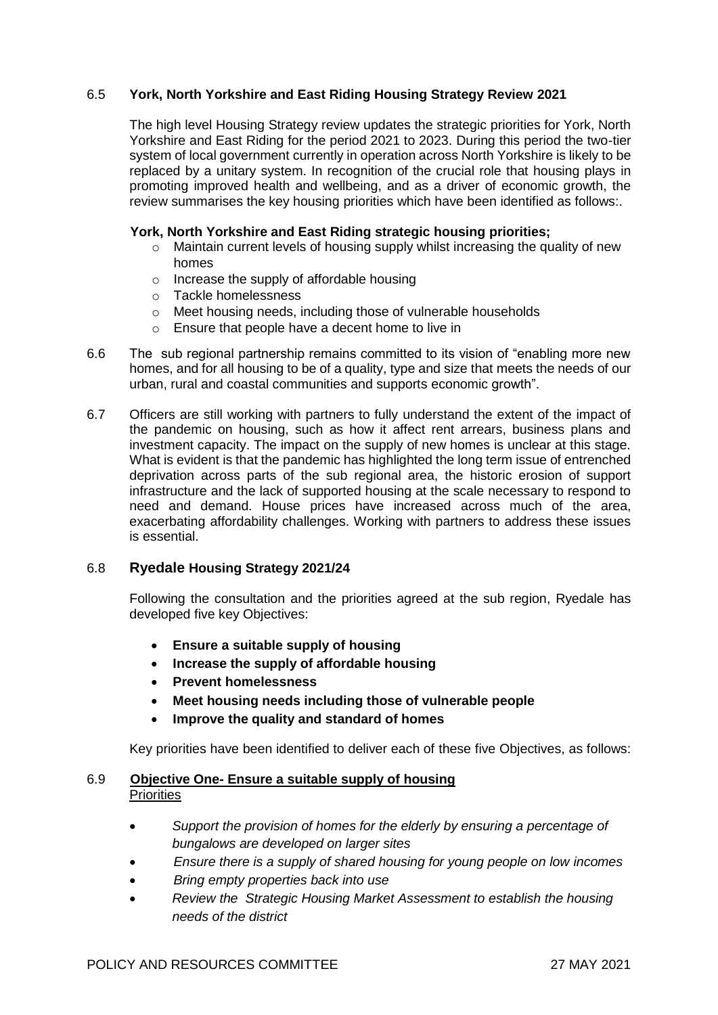# 6.5 **York, North Yorkshire and East Riding Housing Strategy Review 2021**

The high level Housing Strategy review updates the strategic priorities for York, North Yorkshire and East Riding for the period 2021 to 2023. During this period the two-tier system of local government currently in operation across North Yorkshire is likely to be replaced by a unitary system. In recognition of the crucial role that housing plays in promoting improved health and wellbeing, and as a driver of economic growth, the review summarises the key housing priorities which have been identified as follows:.

#### **York, North Yorkshire and East Riding strategic housing priorities;**

- $\circ$  Maintain current levels of housing supply whilst increasing the quality of new homes
- o Increase the supply of affordable housing
- o Tackle homelessness
- o Meet housing needs, including those of vulnerable households
- o Ensure that people have a decent home to live in
- 6.6 The sub regional partnership remains committed to its vision of "enabling more new homes, and for all housing to be of a quality, type and size that meets the needs of our urban, rural and coastal communities and supports economic growth".
- 6.7 Officers are still working with partners to fully understand the extent of the impact of the pandemic on housing, such as how it affect rent arrears, business plans and investment capacity. The impact on the supply of new homes is unclear at this stage. What is evident is that the pandemic has highlighted the long term issue of entrenched deprivation across parts of the sub regional area, the historic erosion of support infrastructure and the lack of supported housing at the scale necessary to respond to need and demand. House prices have increased across much of the area, exacerbating affordability challenges. Working with partners to address these issues is essential.

# 6.8 **Ryedale Housing Strategy 2021/24**

Following the consultation and the priorities agreed at the sub region, Ryedale has developed five key Objectives:

- **Ensure a suitable supply of housing**
- **Increase the supply of affordable housing**
- **Prevent homelessness**
- **Meet housing needs including those of vulnerable people**
- **Improve the quality and standard of homes**

Key priorities have been identified to deliver each of these five Objectives, as follows:

# 6.9 **Objective One- Ensure a suitable supply of housing Priorities**

- *Support the provision of homes for the elderly by ensuring a percentage of bungalows are developed on larger sites*
- *Ensure there is a supply of shared housing for young people on low incomes*
- *Bring empty properties back into use*
- *Review the Strategic Housing Market Assessment to establish the housing needs of the district*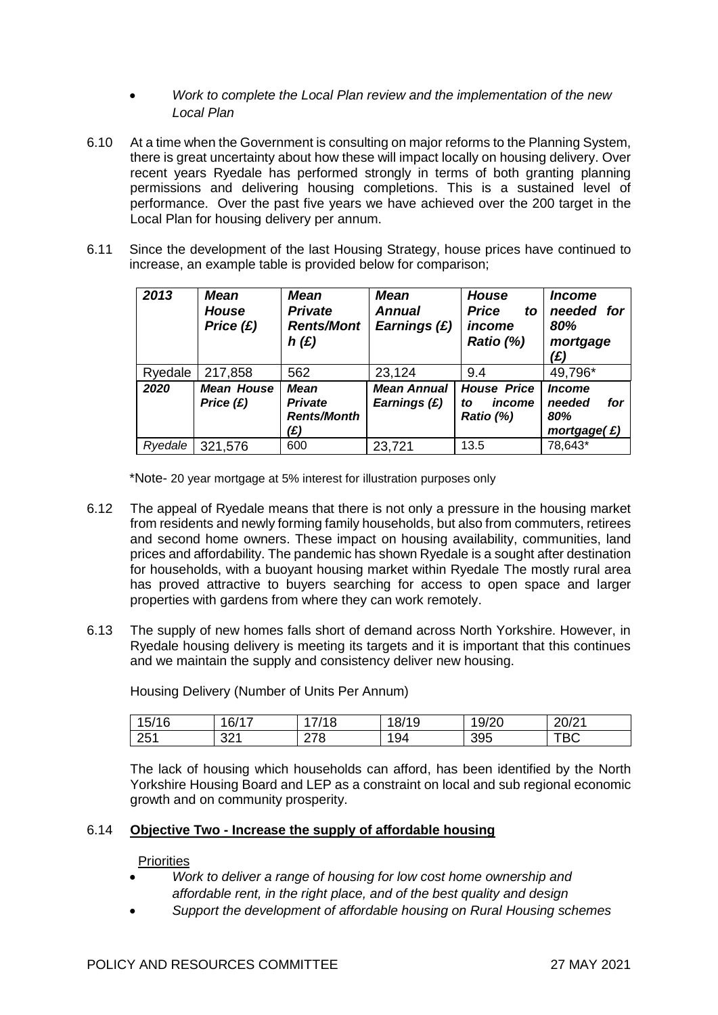# *Work to complete the Local Plan review and the implementation of the new Local Plan*

- 6.10 At a time when the Government is consulting on major reforms to the Planning System, there is great uncertainty about how these will impact locally on housing delivery. Over recent years Ryedale has performed strongly in terms of both granting planning permissions and delivering housing completions. This is a sustained level of performance. Over the past five years we have achieved over the 200 target in the Local Plan for housing delivery per annum.
- 6.11 Since the development of the last Housing Strategy, house prices have continued to increase, an example table is provided below for comparison;

| 2013    | Mean<br>House<br>Price $(E)$   | Mean<br><b>Private</b><br><b>Rents/Mont</b><br>h(E)        | <b>Mean</b><br><b>Annual</b><br>Earnings (£) | House<br><b>Price</b><br>to<br>income<br>Ratio (%) | Income<br>needed for<br>80%<br>mortgage<br>(£)                 |
|---------|--------------------------------|------------------------------------------------------------|----------------------------------------------|----------------------------------------------------|----------------------------------------------------------------|
| Ryedale | 217,858                        | 562                                                        | 23,124                                       | 9.4                                                | 49,796*                                                        |
| 2020    | <b>Mean House</b><br>Price (£) | <b>Mean</b><br><b>Private</b><br><b>Rents/Month</b><br>(£) | <b>Mean Annual</b><br>Earnings (£)           | <b>House Price</b><br>income<br>to<br>Ratio (%)    | <i><b>Income</b></i><br>needed<br>for<br>80%<br>mortgage $(E)$ |
| Ryedale | 321,576                        | 600                                                        | 23,721                                       | 13.5                                               | 78,643*                                                        |

\*Note- 20 year mortgage at 5% interest for illustration purposes only

- 6.12 The appeal of Ryedale means that there is not only a pressure in the housing market from residents and newly forming family households, but also from commuters, retirees and second home owners. These impact on housing availability, communities, land prices and affordability. The pandemic has shown Ryedale is a sought after destination for households, with a buoyant housing market within Ryedale The mostly rural area has proved attractive to buyers searching for access to open space and larger properties with gardens from where they can work remotely.
- 6.13 The supply of new homes falls short of demand across North Yorkshire. However, in Ryedale housing delivery is meeting its targets and it is important that this continues and we maintain the supply and consistency deliver new housing.

Housing Delivery (Number of Units Per Annum)

| 15/16 | 16/17 | 17/18 | 18/19 | 19/20 | 20/2 <sup>1</sup> |
|-------|-------|-------|-------|-------|-------------------|
| 251   | 321   | 278   | 194   | 395   | гвс               |

The lack of housing which households can afford, has been identified by the North Yorkshire Housing Board and LEP as a constraint on local and sub regional economic growth and on community prosperity.

# 6.14 **Objective Two - Increase the supply of affordable housing**

- *Work to deliver a range of housing for low cost home ownership and affordable rent, in the right place, and of the best quality and design*
- *Support the development of affordable housing on Rural Housing schemes*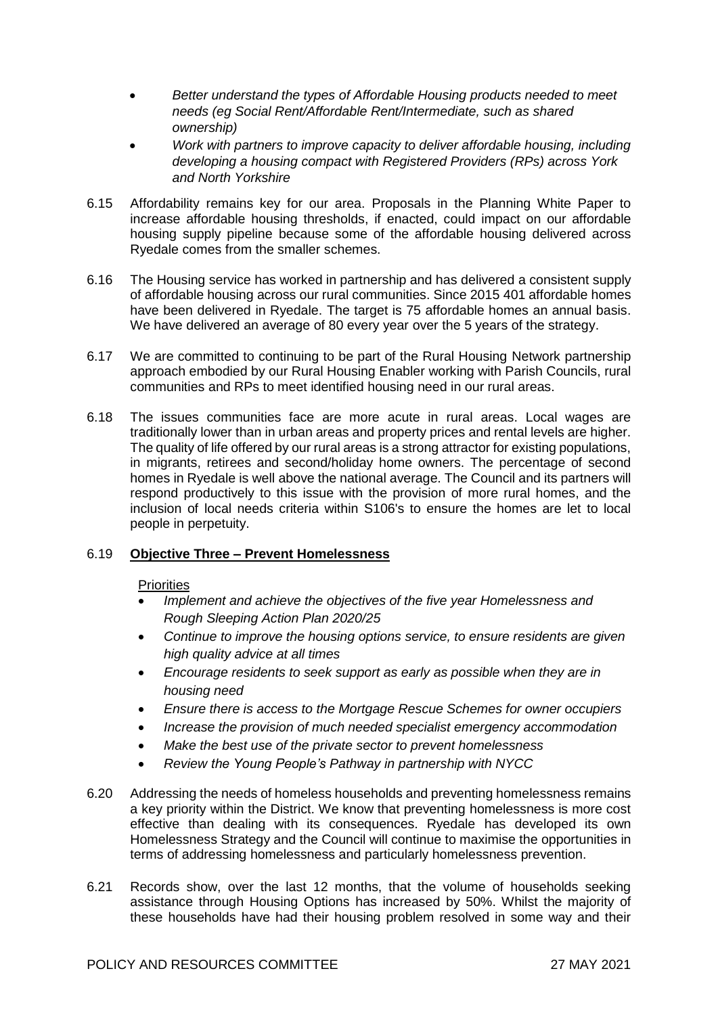- *Better understand the types of Affordable Housing products needed to meet needs (eg Social Rent/Affordable Rent/Intermediate, such as shared ownership)*
- *Work with partners to improve capacity to deliver affordable housing, including developing a housing compact with Registered Providers (RPs) across York and North Yorkshire*
- 6.15 Affordability remains key for our area. Proposals in the Planning White Paper to increase affordable housing thresholds, if enacted, could impact on our affordable housing supply pipeline because some of the affordable housing delivered across Ryedale comes from the smaller schemes.
- 6.16 The Housing service has worked in partnership and has delivered a consistent supply of affordable housing across our rural communities. Since 2015 401 affordable homes have been delivered in Ryedale. The target is 75 affordable homes an annual basis. We have delivered an average of 80 every year over the 5 years of the strategy.
- 6.17 We are committed to continuing to be part of the Rural Housing Network partnership approach embodied by our Rural Housing Enabler working with Parish Councils, rural communities and RPs to meet identified housing need in our rural areas.
- 6.18 The issues communities face are more acute in rural areas. Local wages are traditionally lower than in urban areas and property prices and rental levels are higher. The quality of life offered by our rural areas is a strong attractor for existing populations, in migrants, retirees and second/holiday home owners. The percentage of second homes in Ryedale is well above the national average. The Council and its partners will respond productively to this issue with the provision of more rural homes, and the inclusion of local needs criteria within S106's to ensure the homes are let to local people in perpetuity.

# 6.19 **Objective Three – Prevent Homelessness**

- *Implement and achieve the objectives of the five year Homelessness and Rough Sleeping Action Plan 2020/25*
- *Continue to improve the housing options service, to ensure residents are given high quality advice at all times*
- *Encourage residents to seek support as early as possible when they are in housing need*
- *Ensure there is access to the Mortgage Rescue Schemes for owner occupiers*
- *Increase the provision of much needed specialist emergency accommodation*
- *Make the best use of the private sector to prevent homelessness*
- *Review the Young People's Pathway in partnership with NYCC*
- 6.20 Addressing the needs of homeless households and preventing homelessness remains a key priority within the District. We know that preventing homelessness is more cost effective than dealing with its consequences. Ryedale has developed its own Homelessness Strategy and the Council will continue to maximise the opportunities in terms of addressing homelessness and particularly homelessness prevention.
- 6.21 Records show, over the last 12 months, that the volume of households seeking assistance through Housing Options has increased by 50%. Whilst the majority of these households have had their housing problem resolved in some way and their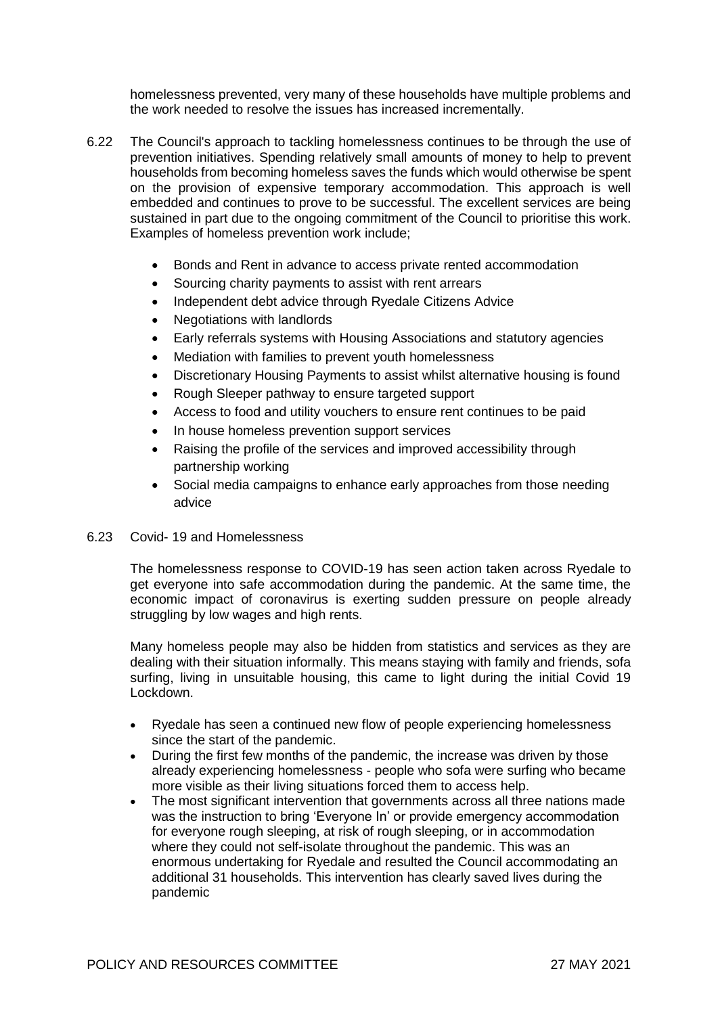homelessness prevented, very many of these households have multiple problems and the work needed to resolve the issues has increased incrementally.

- 6.22 The Council's approach to tackling homelessness continues to be through the use of prevention initiatives. Spending relatively small amounts of money to help to prevent households from becoming homeless saves the funds which would otherwise be spent on the provision of expensive temporary accommodation. This approach is well embedded and continues to prove to be successful. The excellent services are being sustained in part due to the ongoing commitment of the Council to prioritise this work. Examples of homeless prevention work include;
	- Bonds and Rent in advance to access private rented accommodation
	- Sourcing charity payments to assist with rent arrears
	- Independent debt advice through Ryedale Citizens Advice
	- Negotiations with landlords
	- Early referrals systems with Housing Associations and statutory agencies
	- Mediation with families to prevent youth homelessness
	- Discretionary Housing Payments to assist whilst alternative housing is found
	- Rough Sleeper pathway to ensure targeted support
	- Access to food and utility vouchers to ensure rent continues to be paid
	- In house homeless prevention support services
	- Raising the profile of the services and improved accessibility through partnership working
	- Social media campaigns to enhance early approaches from those needing advice
- 6.23 Covid- 19 and Homelessness

The homelessness response to COVID-19 has seen action taken across Ryedale to get everyone into safe accommodation during the pandemic. At the same time, the economic impact of coronavirus is exerting sudden pressure on people already struggling by low wages and high rents.

Many homeless people may also be hidden from statistics and services as they are dealing with their situation informally. This means staying with family and friends, sofa surfing, living in unsuitable housing, this came to light during the initial Covid 19 Lockdown.

- Ryedale has seen a continued new flow of people experiencing homelessness since the start of the pandemic.
- During the first few months of the pandemic, the increase was driven by those already experiencing homelessness - people who sofa were surfing who became more visible as their living situations forced them to access help.
- The most significant intervention that governments across all three nations made was the instruction to bring 'Everyone In' or provide emergency accommodation for everyone rough sleeping, at risk of rough sleeping, or in accommodation where they could not self-isolate throughout the pandemic. This was an enormous undertaking for Ryedale and resulted the Council accommodating an additional 31 households. This intervention has clearly saved lives during the pandemic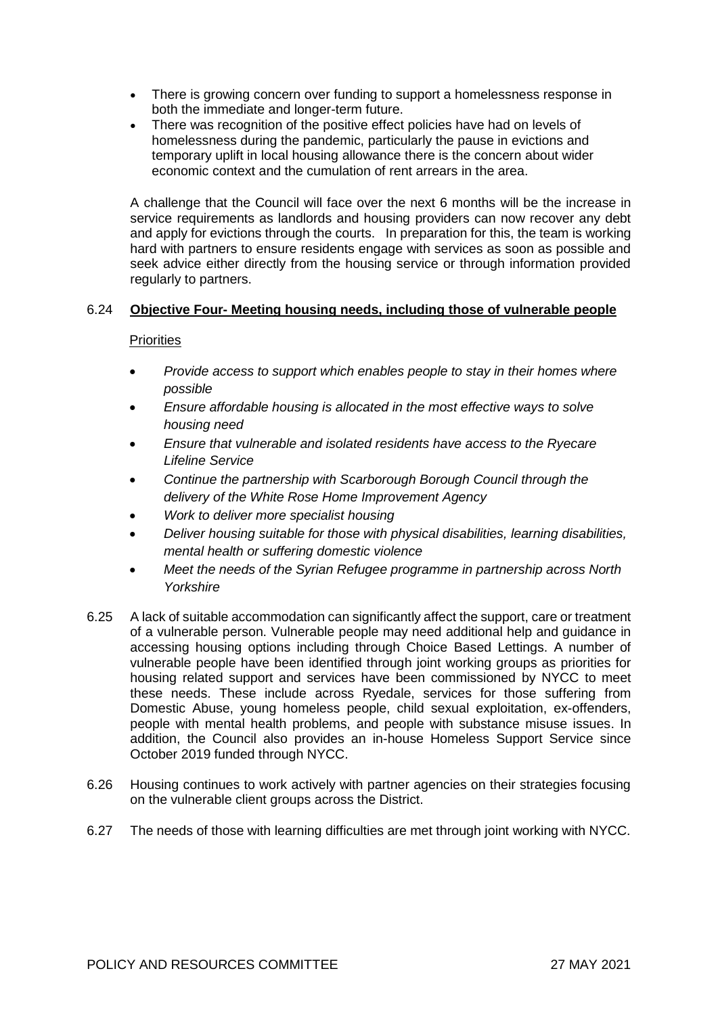- There is growing concern over funding to support a homelessness response in both the immediate and longer-term future.
- There was recognition of the positive effect policies have had on levels of homelessness during the pandemic, particularly the pause in evictions and temporary uplift in local housing allowance there is the concern about wider economic context and the cumulation of rent arrears in the area.

A challenge that the Council will face over the next 6 months will be the increase in service requirements as landlords and housing providers can now recover any debt and apply for evictions through the courts. In preparation for this, the team is working hard with partners to ensure residents engage with services as soon as possible and seek advice either directly from the housing service or through information provided regularly to partners.

# 6.24 **Objective Four- Meeting housing needs, including those of vulnerable people**

- *Provide access to support which enables people to stay in their homes where possible*
- *Ensure affordable housing is allocated in the most effective ways to solve housing need*
- *Ensure that vulnerable and isolated residents have access to the Ryecare Lifeline Service*
- *Continue the partnership with Scarborough Borough Council through the delivery of the White Rose Home Improvement Agency*
- *Work to deliver more specialist housing*
- *Deliver housing suitable for those with physical disabilities, learning disabilities, mental health or suffering domestic violence*
- *Meet the needs of the Syrian Refugee programme in partnership across North Yorkshire*
- 6.25 A lack of suitable accommodation can significantly affect the support, care or treatment of a vulnerable person. Vulnerable people may need additional help and guidance in accessing housing options including through Choice Based Lettings. A number of vulnerable people have been identified through joint working groups as priorities for housing related support and services have been commissioned by NYCC to meet these needs. These include across Ryedale, services for those suffering from Domestic Abuse, young homeless people, child sexual exploitation, ex-offenders, people with mental health problems, and people with substance misuse issues. In addition, the Council also provides an in-house Homeless Support Service since October 2019 funded through NYCC.
- 6.26 Housing continues to work actively with partner agencies on their strategies focusing on the vulnerable client groups across the District.
- 6.27 The needs of those with learning difficulties are met through joint working with NYCC.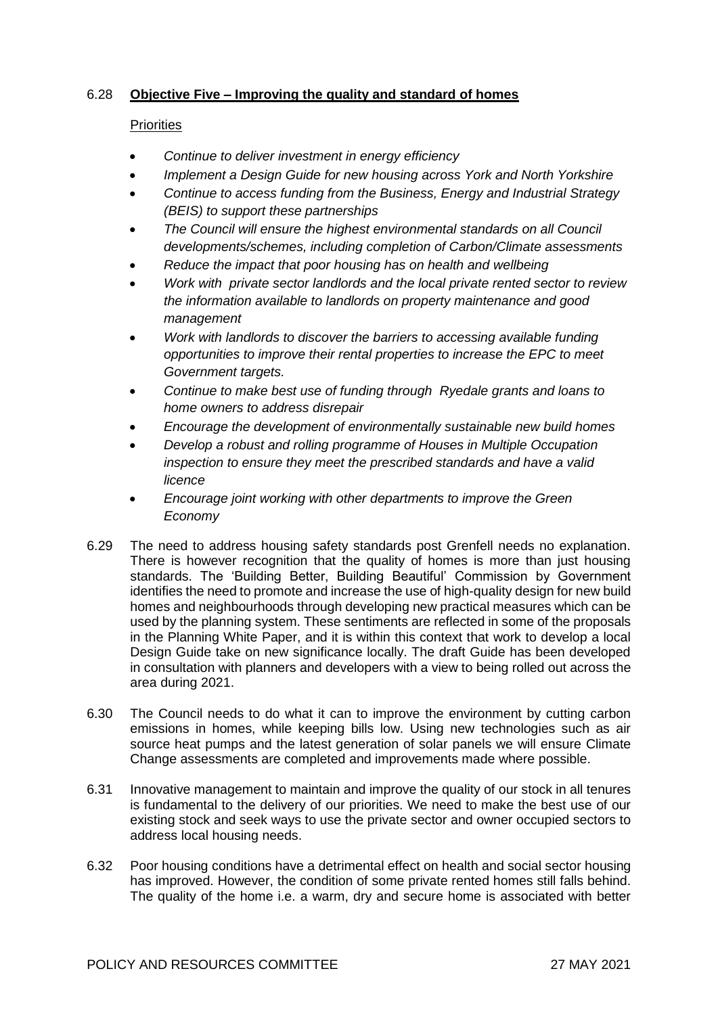# 6.28 **Objective Five – Improving the quality and standard of homes**

- *Continue to deliver investment in energy efficiency*
- *Implement a Design Guide for new housing across York and North Yorkshire*
- *Continue to access funding from the Business, Energy and Industrial Strategy (BEIS) to support these partnerships*
- *The Council will ensure the highest environmental standards on all Council developments/schemes, including completion of Carbon/Climate assessments*
- *Reduce the impact that poor housing has on health and wellbeing*
- *Work with private sector landlords and the local private rented sector to review the information available to landlords on property maintenance and good management*
- *Work with landlords to discover the barriers to accessing available funding opportunities to improve their rental properties to increase the EPC to meet Government targets.*
- *Continue to make best use of funding through Ryedale grants and loans to home owners to address disrepair*
- *Encourage the development of environmentally sustainable new build homes*
- *Develop a robust and rolling programme of Houses in Multiple Occupation inspection to ensure they meet the prescribed standards and have a valid licence*
- *Encourage joint working with other departments to improve the Green Economy*
- 6.29 The need to address housing safety standards post Grenfell needs no explanation. There is however recognition that the quality of homes is more than just housing standards. The 'Building Better, Building Beautiful' Commission by Government identifies the need to promote and increase the use of high-quality design for new build homes and neighbourhoods through developing new practical measures which can be used by the planning system. These sentiments are reflected in some of the proposals in the Planning White Paper, and it is within this context that work to develop a local Design Guide take on new significance locally. The draft Guide has been developed in consultation with planners and developers with a view to being rolled out across the area during 2021.
- 6.30 The Council needs to do what it can to improve the environment by cutting carbon emissions in homes, while keeping bills low. Using new technologies such as air source heat pumps and the latest generation of solar panels we will ensure Climate Change assessments are completed and improvements made where possible.
- 6.31 Innovative management to maintain and improve the quality of our stock in all tenures is fundamental to the delivery of our priorities. We need to make the best use of our existing stock and seek ways to use the private sector and owner occupied sectors to address local housing needs.
- 6.32 Poor housing conditions have a detrimental effect on health and social sector housing has improved. However, the condition of some private rented homes still falls behind. The quality of the home i.e. a warm, dry and secure home is associated with better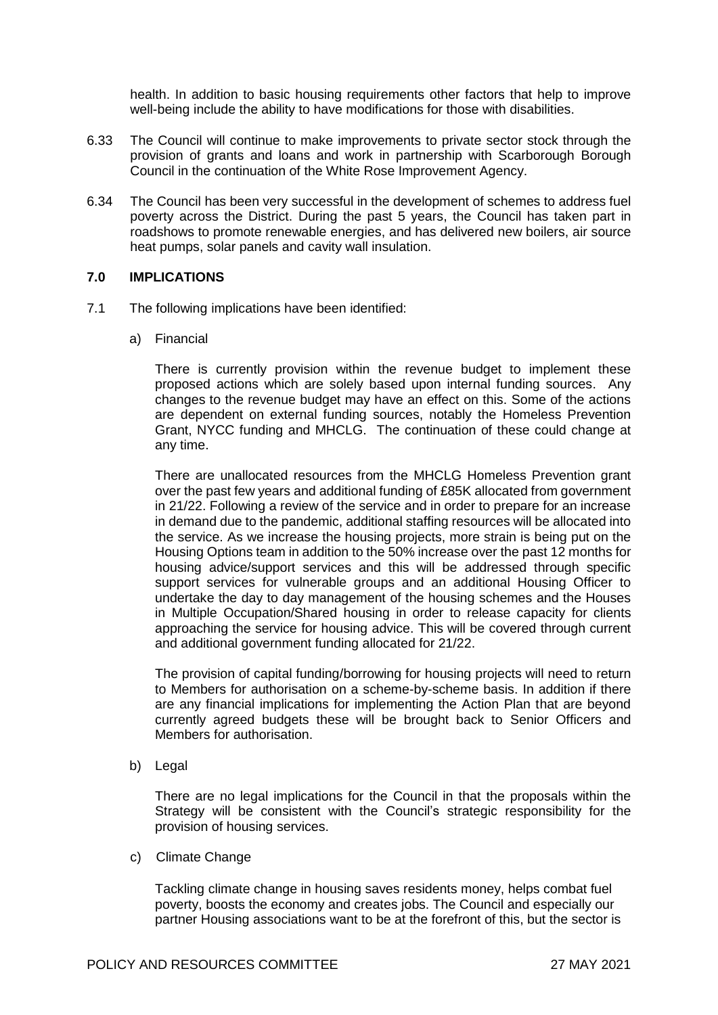health. In addition to basic housing requirements other factors that help to improve well-being include the ability to have modifications for those with disabilities.

- 6.33 The Council will continue to make improvements to private sector stock through the provision of grants and loans and work in partnership with Scarborough Borough Council in the continuation of the White Rose Improvement Agency.
- 6.34 The Council has been very successful in the development of schemes to address fuel poverty across the District. During the past 5 years, the Council has taken part in roadshows to promote renewable energies, and has delivered new boilers, air source heat pumps, solar panels and cavity wall insulation.

#### **7.0 IMPLICATIONS**

- 7.1 The following implications have been identified:
	- a) Financial

There is currently provision within the revenue budget to implement these proposed actions which are solely based upon internal funding sources. Any changes to the revenue budget may have an effect on this. Some of the actions are dependent on external funding sources, notably the Homeless Prevention Grant, NYCC funding and MHCLG. The continuation of these could change at any time.

There are unallocated resources from the MHCLG Homeless Prevention grant over the past few years and additional funding of £85K allocated from government in 21/22. Following a review of the service and in order to prepare for an increase in demand due to the pandemic, additional staffing resources will be allocated into the service. As we increase the housing projects, more strain is being put on the Housing Options team in addition to the 50% increase over the past 12 months for housing advice/support services and this will be addressed through specific support services for vulnerable groups and an additional Housing Officer to undertake the day to day management of the housing schemes and the Houses in Multiple Occupation/Shared housing in order to release capacity for clients approaching the service for housing advice. This will be covered through current and additional government funding allocated for 21/22.

The provision of capital funding/borrowing for housing projects will need to return to Members for authorisation on a scheme-by-scheme basis. In addition if there are any financial implications for implementing the Action Plan that are beyond currently agreed budgets these will be brought back to Senior Officers and Members for authorisation.

b) Legal

There are no legal implications for the Council in that the proposals within the Strategy will be consistent with the Council's strategic responsibility for the provision of housing services.

c) Climate Change

Tackling climate change in housing saves residents money, helps combat fuel poverty, boosts the economy and creates jobs. The Council and especially our partner Housing associations want to be at the forefront of this, but the sector is